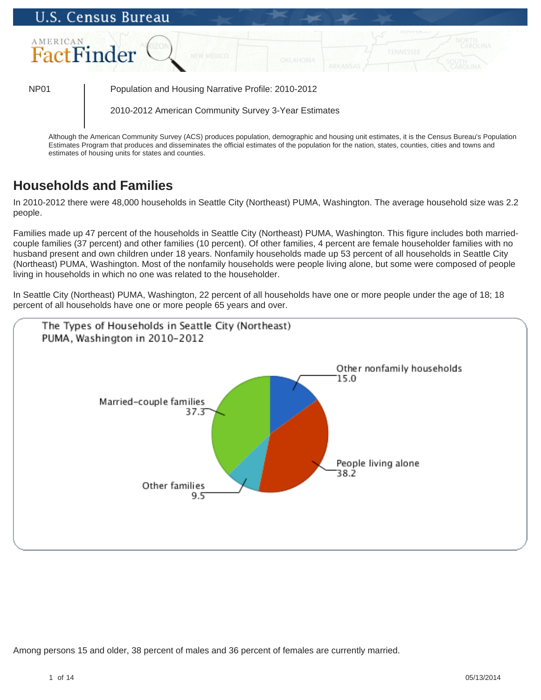# **U.S. Census Bureau AMERICAN** FactFinder NP01 Population and Housing Narrative Profile: 2010-2012 2010-2012 American Community Survey 3-Year Estimates

Although the American Community Survey (ACS) produces population, demographic and housing unit estimates, it is the Census Bureau's Population Estimates Program that produces and disseminates the official estimates of the population for the nation, states, counties, cities and towns and estimates of housing units for states and counties.

## **Households and Families**

In 2010-2012 there were 48,000 households in Seattle City (Northeast) PUMA, Washington. The average household size was 2.2 people.

Families made up 47 percent of the households in Seattle City (Northeast) PUMA, Washington. This figure includes both marriedcouple families (37 percent) and other families (10 percent). Of other families, 4 percent are female householder families with no husband present and own children under 18 years. Nonfamily households made up 53 percent of all households in Seattle City (Northeast) PUMA, Washington. Most of the nonfamily households were people living alone, but some were composed of people living in households in which no one was related to the householder.

In Seattle City (Northeast) PUMA, Washington, 22 percent of all households have one or more people under the age of 18; 18 percent of all households have one or more people 65 years and over.



Among persons 15 and older, 38 percent of males and 36 percent of females are currently married.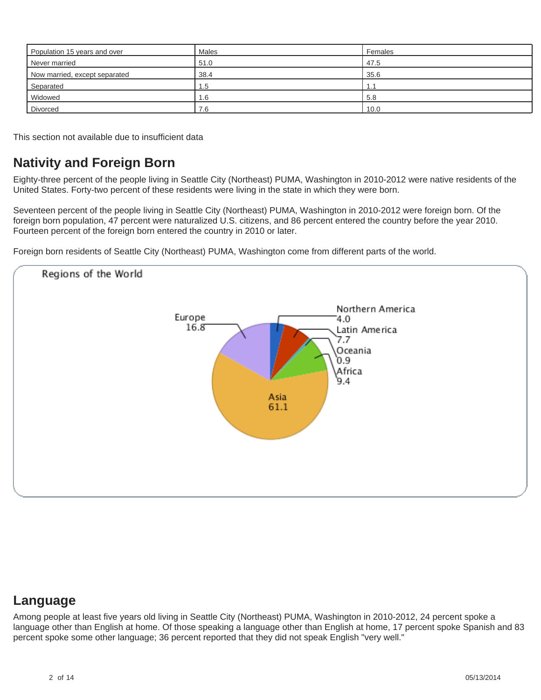| Population 15 years and over  | Males | Females |
|-------------------------------|-------|---------|
| Never married                 | 51.0  | 47.5    |
| Now married, except separated | 38.4  | 35.6    |
| Separated                     | 1.5   |         |
| Widowed                       | 1.6   | 5.8     |
| Divorced                      | 7.6   | 10.0    |

This section not available due to insufficient data

## **Nativity and Foreign Born**

Eighty-three percent of the people living in Seattle City (Northeast) PUMA, Washington in 2010-2012 were native residents of the United States. Forty-two percent of these residents were living in the state in which they were born.

Seventeen percent of the people living in Seattle City (Northeast) PUMA, Washington in 2010-2012 were foreign born. Of the foreign born population, 47 percent were naturalized U.S. citizens, and 86 percent entered the country before the year 2010. Fourteen percent of the foreign born entered the country in 2010 or later.

Foreign born residents of Seattle City (Northeast) PUMA, Washington come from different parts of the world.



#### **Language**

Among people at least five years old living in Seattle City (Northeast) PUMA, Washington in 2010-2012, 24 percent spoke a language other than English at home. Of those speaking a language other than English at home, 17 percent spoke Spanish and 83 percent spoke some other language; 36 percent reported that they did not speak English "very well."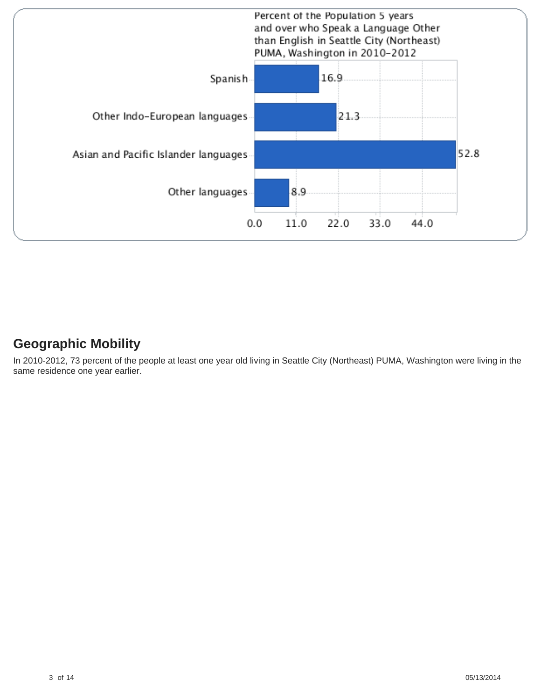

### **Geographic Mobility**

In 2010-2012, 73 percent of the people at least one year old living in Seattle City (Northeast) PUMA, Washington were living in the same residence one year earlier.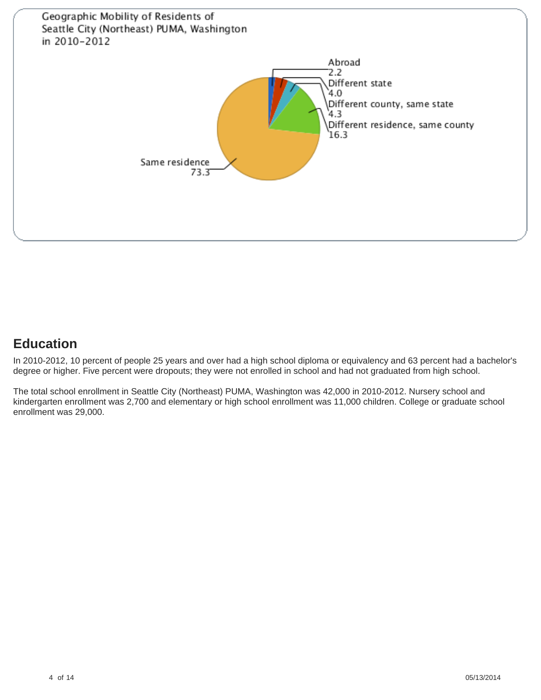

## **Education**

In 2010-2012, 10 percent of people 25 years and over had a high school diploma or equivalency and 63 percent had a bachelor's degree or higher. Five percent were dropouts; they were not enrolled in school and had not graduated from high school.

The total school enrollment in Seattle City (Northeast) PUMA, Washington was 42,000 in 2010-2012. Nursery school and kindergarten enrollment was 2,700 and elementary or high school enrollment was 11,000 children. College or graduate school enrollment was 29,000.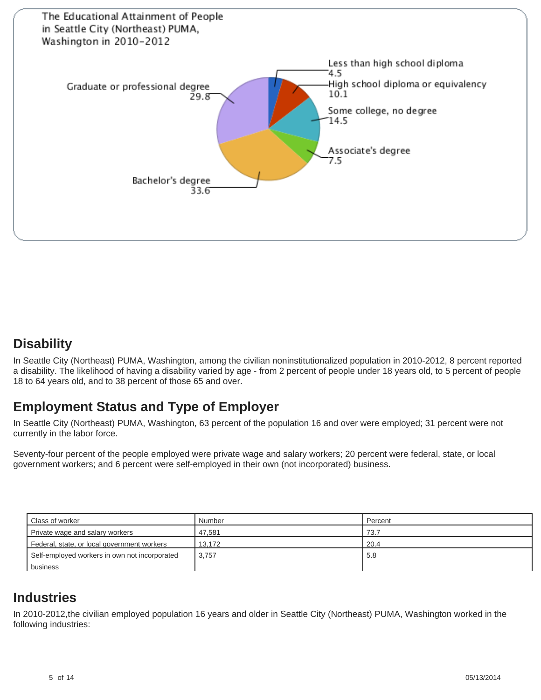

#### **Disability**

In Seattle City (Northeast) PUMA, Washington, among the civilian noninstitutionalized population in 2010-2012, 8 percent reported a disability. The likelihood of having a disability varied by age - from 2 percent of people under 18 years old, to 5 percent of people 18 to 64 years old, and to 38 percent of those 65 and over.

## **Employment Status and Type of Employer**

In Seattle City (Northeast) PUMA, Washington, 63 percent of the population 16 and over were employed; 31 percent were not currently in the labor force.

Seventy-four percent of the people employed were private wage and salary workers; 20 percent were federal, state, or local government workers; and 6 percent were self-employed in their own (not incorporated) business.

| Class of worker                               | Number | Percent |
|-----------------------------------------------|--------|---------|
| Private wage and salary workers               | 47.581 | 73.7    |
| Federal, state, or local government workers   | 13.172 | 20.4    |
| Self-employed workers in own not incorporated | 3.757  | -5.8    |
| business                                      |        |         |

## **Industries**

In 2010-2012,the civilian employed population 16 years and older in Seattle City (Northeast) PUMA, Washington worked in the following industries: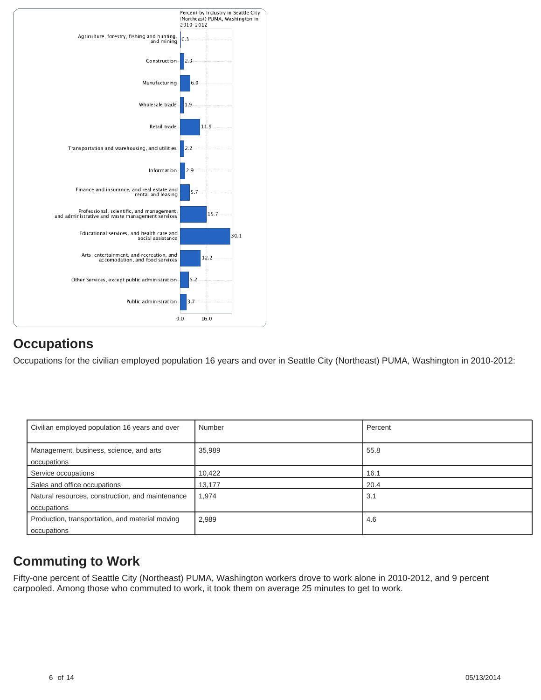

## **Occupations**

Occupations for the civilian employed population 16 years and over in Seattle City (Northeast) PUMA, Washington in 2010-2012:

| Civilian employed population 16 years and over                  | Number | Percent |
|-----------------------------------------------------------------|--------|---------|
| Management, business, science, and arts<br>occupations          | 35,989 | 55.8    |
| Service occupations                                             | 10,422 | 16.1    |
| Sales and office occupations                                    | 13,177 | 20.4    |
| Natural resources, construction, and maintenance<br>occupations | 1,974  | 3.1     |
| Production, transportation, and material moving<br>occupations  | 2,989  | 4.6     |

## **Commuting to Work**

Fifty-one percent of Seattle City (Northeast) PUMA, Washington workers drove to work alone in 2010-2012, and 9 percent carpooled. Among those who commuted to work, it took them on average 25 minutes to get to work.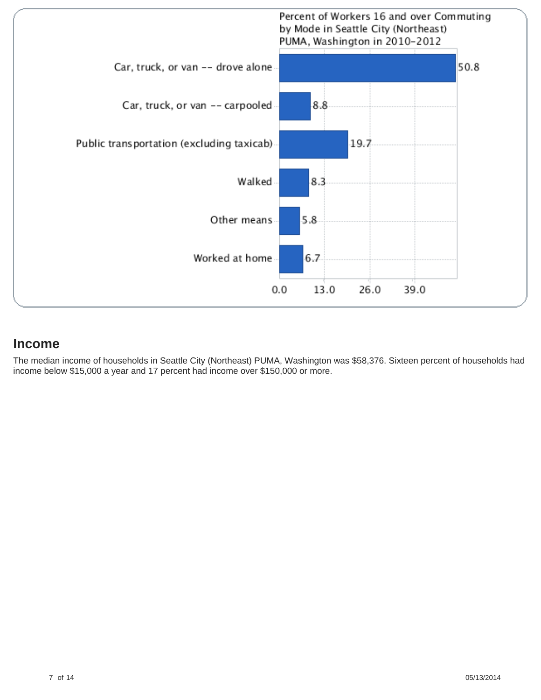

#### **Income**

The median income of households in Seattle City (Northeast) PUMA, Washington was \$58,376. Sixteen percent of households had income below \$15,000 a year and 17 percent had income over \$150,000 or more.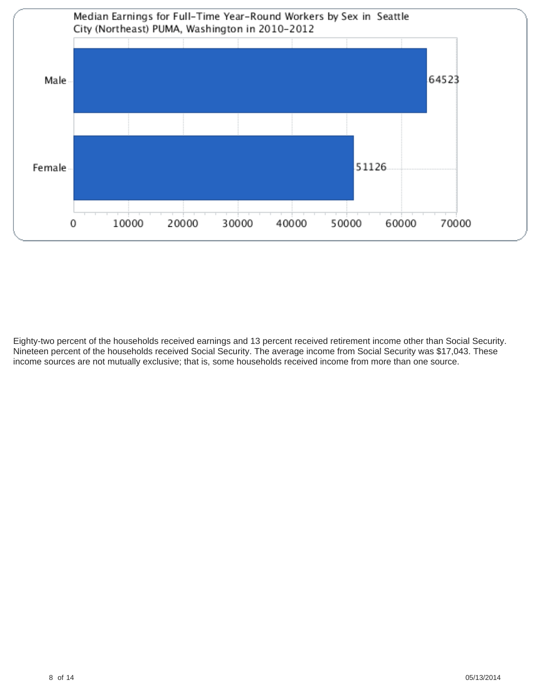

Eighty-two percent of the households received earnings and 13 percent received retirement income other than Social Security. Nineteen percent of the households received Social Security. The average income from Social Security was \$17,043. These income sources are not mutually exclusive; that is, some households received income from more than one source.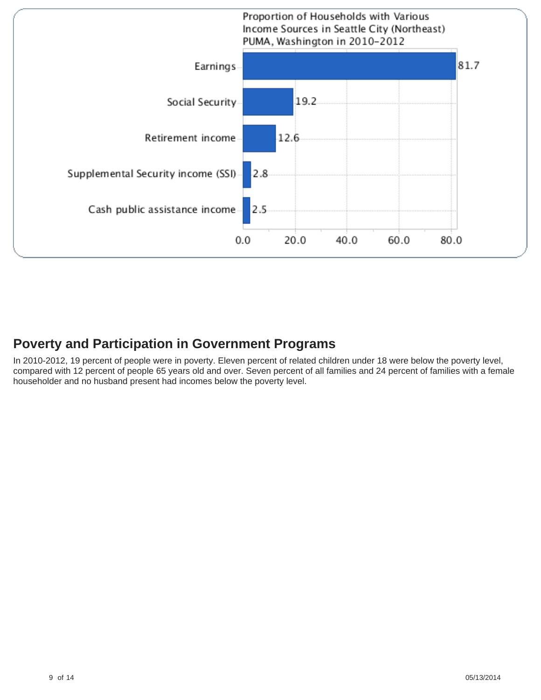

## **Poverty and Participation in Government Programs**

In 2010-2012, 19 percent of people were in poverty. Eleven percent of related children under 18 were below the poverty level, compared with 12 percent of people 65 years old and over. Seven percent of all families and 24 percent of families with a female householder and no husband present had incomes below the poverty level.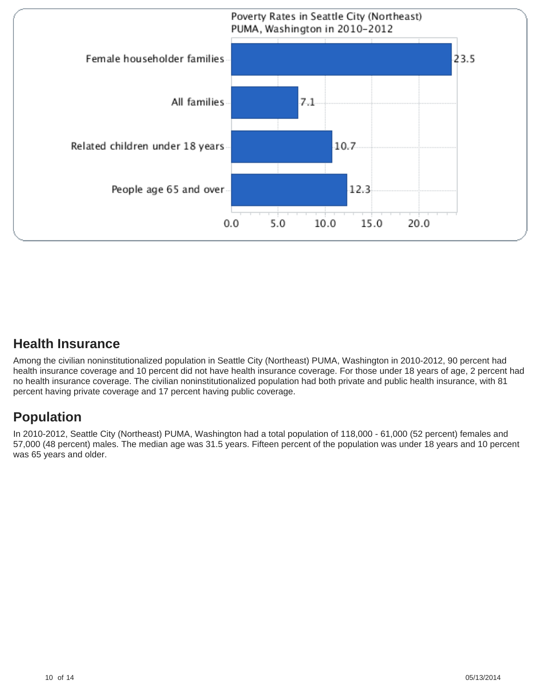

## **Health Insurance**

Among the civilian noninstitutionalized population in Seattle City (Northeast) PUMA, Washington in 2010-2012, 90 percent had health insurance coverage and 10 percent did not have health insurance coverage. For those under 18 years of age, 2 percent had no health insurance coverage. The civilian noninstitutionalized population had both private and public health insurance, with 81 percent having private coverage and 17 percent having public coverage.

## **Population**

In 2010-2012, Seattle City (Northeast) PUMA, Washington had a total population of 118,000 - 61,000 (52 percent) females and 57,000 (48 percent) males. The median age was 31.5 years. Fifteen percent of the population was under 18 years and 10 percent was 65 years and older.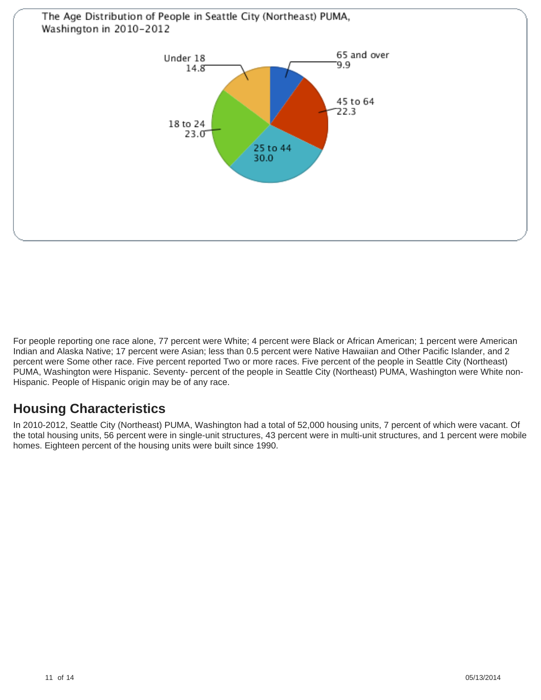

For people reporting one race alone, 77 percent were White; 4 percent were Black or African American; 1 percent were American Indian and Alaska Native; 17 percent were Asian; less than 0.5 percent were Native Hawaiian and Other Pacific Islander, and 2 percent were Some other race. Five percent reported Two or more races. Five percent of the people in Seattle City (Northeast) PUMA, Washington were Hispanic. Seventy- percent of the people in Seattle City (Northeast) PUMA, Washington were White non-Hispanic. People of Hispanic origin may be of any race.

## **Housing Characteristics**

In 2010-2012, Seattle City (Northeast) PUMA, Washington had a total of 52,000 housing units, 7 percent of which were vacant. Of the total housing units, 56 percent were in single-unit structures, 43 percent were in multi-unit structures, and 1 percent were mobile homes. Eighteen percent of the housing units were built since 1990.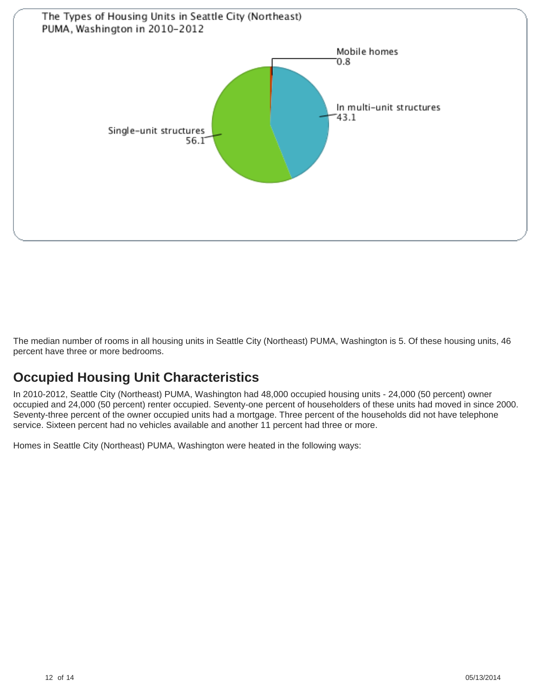

The median number of rooms in all housing units in Seattle City (Northeast) PUMA, Washington is 5. Of these housing units, 46 percent have three or more bedrooms.

## **Occupied Housing Unit Characteristics**

In 2010-2012, Seattle City (Northeast) PUMA, Washington had 48,000 occupied housing units - 24,000 (50 percent) owner occupied and 24,000 (50 percent) renter occupied. Seventy-one percent of householders of these units had moved in since 2000. Seventy-three percent of the owner occupied units had a mortgage. Three percent of the households did not have telephone service. Sixteen percent had no vehicles available and another 11 percent had three or more.

Homes in Seattle City (Northeast) PUMA, Washington were heated in the following ways: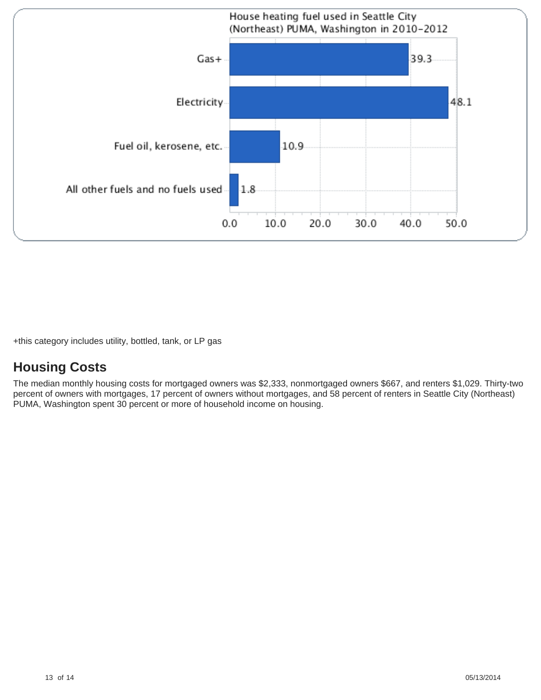

+this category includes utility, bottled, tank, or LP gas

## **Housing Costs**

The median monthly housing costs for mortgaged owners was \$2,333, nonmortgaged owners \$667, and renters \$1,029. Thirty-two percent of owners with mortgages, 17 percent of owners without mortgages, and 58 percent of renters in Seattle City (Northeast) PUMA, Washington spent 30 percent or more of household income on housing.